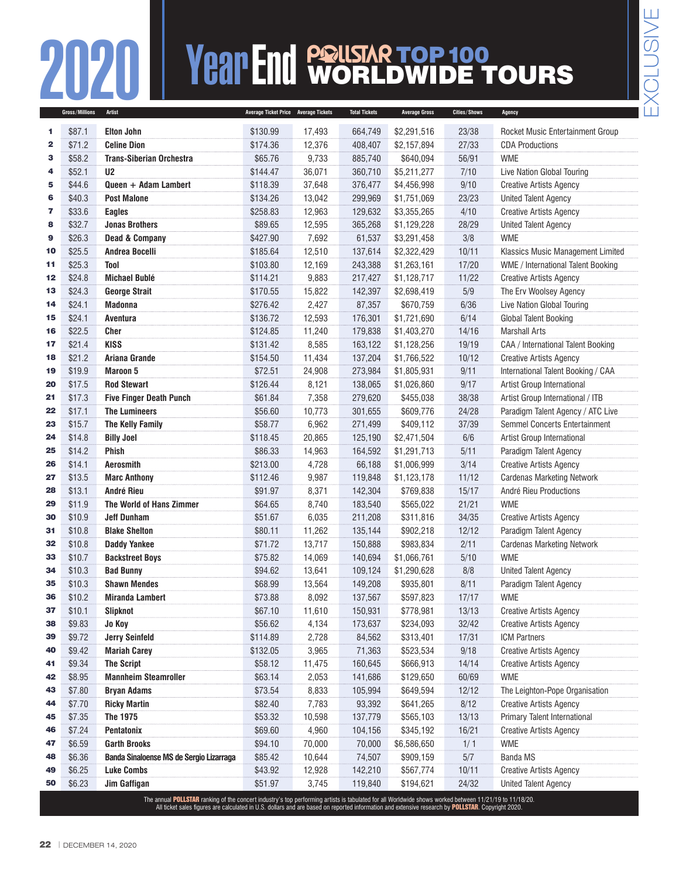## **Year End Polis Are DWIDE 1**<br>**Average Tickel Price** Average Tickets Total Tickets Average Gross Cities/Shows WORLDWIDE TOURS

|              | Gross/Millions | <b>Artist</b>                                                                                                                                          | Average Ticket Price Average Tickets |        | <b>Total Tickets</b> | <b>Average Gross</b> | Cities/Shows | Agency                             |
|--------------|----------------|--------------------------------------------------------------------------------------------------------------------------------------------------------|--------------------------------------|--------|----------------------|----------------------|--------------|------------------------------------|
| 1            | \$87.1         | <b>Elton John</b>                                                                                                                                      | \$130.99                             | 17,493 | 664,749              | \$2,291,516          | 23/38        | Rocket Music Entertainment Group   |
| $\mathbf{2}$ | \$71.2         | <b>Celine Dion</b>                                                                                                                                     | \$174.36                             | 12,376 | 408,407              | \$2,157,894          | 27/33        | <b>CDA Productions</b>             |
| з            | \$58.2         | <b>Trans-Siberian Orchestra</b>                                                                                                                        | \$65.76                              | 9,733  | 885,740              | \$640,094            | 56/91        | <b>WME</b>                         |
| 4            | \$52.1         | U <sub>2</sub>                                                                                                                                         | \$144.47                             | 36,071 | 360,710              | \$5,211,277          | 7/10         | Live Nation Global Touring         |
| 5            | \$44.6         | Queen + Adam Lambert                                                                                                                                   | \$118.39                             | 37,648 | 376,477              | \$4,456,998          | 9/10         | <b>Creative Artists Agency</b>     |
| 6            | \$40.3         | <b>Post Malone</b>                                                                                                                                     | \$134.26                             | 13,042 | 299,969              | \$1,751,069          | 23/23        | <b>United Talent Agency</b>        |
| 7            | \$33.6         | <b>Eagles</b>                                                                                                                                          | \$258.83                             | 12,963 | 129,632              | \$3,355,265          | 4/10         | <b>Creative Artists Agency</b>     |
| 8            | \$32.7         | <b>Jonas Brothers</b>                                                                                                                                  | \$89.65                              | 12,595 | 365,268              | \$1,129,228          | 28/29        | <b>United Talent Agency</b>        |
| 9            | \$26.3         | <b>Dead &amp; Company</b>                                                                                                                              | \$427.90                             | 7,692  | 61,537               | \$3,291,458          | 3/8          | <b>WME</b>                         |
| 10           | \$25.5         | <b>Andrea Bocelli</b>                                                                                                                                  | \$185.64                             | 12,510 | 137,614              | \$2,322,429          | 10/11        | Klassics Music Management Limited  |
| 11           | \$25.3         | <b>Tool</b>                                                                                                                                            | \$103.80                             | 12,169 | 243,388              | \$1,263,161          | 17/20        | WME / International Talent Booking |
| 12           | \$24.8         | <b>Michael Bublé</b>                                                                                                                                   | \$114.21                             | 9,883  | 217,427              | \$1,128,717          | 11/22        | <b>Creative Artists Agency</b>     |
| 13           | \$24.3         | <b>George Strait</b>                                                                                                                                   | \$170.55                             | 15,822 | 142,397              | \$2,698,419          | 5/9          | The Erv Woolsey Agency             |
| 14           | \$24.1         | <b>Madonna</b>                                                                                                                                         | \$276.42                             | 2,427  | 87,357               | \$670,759            | 6/36         | Live Nation Global Touring         |
| 15           | \$24.1         | Aventura                                                                                                                                               | \$136.72                             | 12,593 | 176,301              | \$1,721,690          | 6/14         | Global Talent Booking              |
| 16           | \$22.5         | <b>Cher</b>                                                                                                                                            | \$124.85                             | 11,240 | 179,838              | \$1,403,270          | 14/16        | <b>Marshall Arts</b>               |
| 17           | \$21.4         | <b>KISS</b>                                                                                                                                            | \$131.42                             | 8,585  | 163,122              | \$1,128,256          | 19/19        | CAA / International Talent Booking |
| 18           | \$21.2         | Ariana Grande                                                                                                                                          | \$154.50                             | 11,434 | 137,204              | \$1,766,522          | 10/12        | <b>Creative Artists Agency</b>     |
| 19           | \$19.9         | <b>Maroon 5</b>                                                                                                                                        | \$72.51                              | 24,908 | 273,984              | \$1,805,931          | 9/11         | International Talent Booking / CAA |
| 20           | \$17.5         | <b>Rod Stewart</b>                                                                                                                                     | \$126.44                             | 8,121  | 138,065              | \$1,026,860          | 9/17         | Artist Group International         |
| 21           | \$17.3         | <b>Five Finger Death Punch</b>                                                                                                                         | \$61.84                              | 7,358  | 279,620              | \$455,038            | 38/38        | Artist Group International / ITB   |
| 22           | \$17.1         | <b>The Lumineers</b>                                                                                                                                   | \$56.60                              | 10,773 | 301,655              | \$609,776            | 24/28        | Paradigm Talent Agency / ATC Live  |
| 23           | \$15.7         | <b>The Kelly Family</b>                                                                                                                                | \$58.77                              | 6,962  | 271,499              | \$409,112            | 37/39        | Semmel Concerts Entertainment      |
| 24           | \$14.8         | <b>Billy Joel</b>                                                                                                                                      | \$118.45                             | 20,865 | 125,190              | \$2,471,504          | 6/6          | Artist Group International         |
| 25           | \$14.2         | <b>Phish</b>                                                                                                                                           | \$86.33                              | 14,963 | 164,592              | \$1,291,713          | 5/11         | Paradigm Talent Agency             |
| 26           | \$14.1         | <b>Aerosmith</b>                                                                                                                                       | \$213.00                             | 4,728  | 66,188               | \$1,006,999          | 3/14         | <b>Creative Artists Agency</b>     |
| 27           | \$13.5         | <b>Marc Anthony</b>                                                                                                                                    | \$112.46                             | 9,987  | 119,848              | \$1,123,178          | 11/12        | <b>Cardenas Marketing Network</b>  |
| 28           | \$13.1         | <b>André Rieu</b>                                                                                                                                      | \$91.97                              | 8,371  | 142,304              | \$769,838            | 15/17        | André Rieu Productions             |
| 29           | \$11.9         | The World of Hans Zimmer                                                                                                                               | \$64.65                              | 8,740  | 183,540              | \$565,022            | 21/21        | <b>WME</b>                         |
| 30           | \$10.9         | <b>Jeff Dunham</b>                                                                                                                                     | \$51.67                              | 6,035  | 211,208              | \$311,816            | 34/35        | <b>Creative Artists Agency</b>     |
| 31           | \$10.8         | <b>Blake Shelton</b>                                                                                                                                   | \$80.11                              | 11,262 | 135,144              | \$902,218            | 12/12        | Paradigm Talent Agency             |
| 32           | \$10.8         | <b>Daddy Yankee</b>                                                                                                                                    | \$71.72                              | 13,717 | 150,888              | \$983,834            | 2/11         | <b>Cardenas Marketing Network</b>  |
| 33           | \$10.7         | <b>Backstreet Boys</b>                                                                                                                                 | \$75.82                              | 14,069 | 140,694              | \$1,066,761          | 5/10         | <b>WME</b>                         |
| 34           | \$10.3         | <b>Bad Bunny</b>                                                                                                                                       | \$94.62                              | 13,641 | 109,124              | \$1,290,628          | 8/8          | <b>United Talent Agency</b>        |
| 35           | \$10.3         | <b>Shawn Mendes</b>                                                                                                                                    | \$68.99                              | 13,564 | 149,208              | \$935,801            | 8/11         | Paradigm Talent Agency             |
| 36           | \$10.2         | <b>Miranda Lambert</b>                                                                                                                                 | \$73.88                              | 8,092  | 137,567              | \$597,823            | 17/17        | <b>WME</b>                         |
| 37           | \$10.1         | <b>Slipknot</b>                                                                                                                                        | \$67.10                              | 11,610 | 150,931              | \$778,981            | 13/13        | <b>Creative Artists Agency</b>     |
| 38           | \$9.83         | Jo Koy                                                                                                                                                 | \$56.62                              | 4,134  | 173,637              | \$234,093            | 32/42        | <b>Creative Artists Agency</b>     |
| 39           | \$9.72         | <b>Jerry Seinfeld</b>                                                                                                                                  | \$114.89                             | 2,728  | 84,562               | \$313,401            | 17/31        | <b>ICM Partners</b>                |
| 40           | \$9.42         | <b>Mariah Carey</b>                                                                                                                                    | \$132.05                             | 3,965  | 71,363               | \$523,534            | 9/18         | <b>Creative Artists Agency</b>     |
| 41           | \$9.34         | <b>The Script</b>                                                                                                                                      | \$58.12                              | 11,475 | 160,645              | \$666,913            | 14/14        | <b>Creative Artists Agency</b>     |
| 42           | \$8.95         | <b>Mannheim Steamroller</b>                                                                                                                            | \$63.14                              | 2,053  | 141,686              | \$129,650            | 60/69        | <b>WME</b>                         |
| 43           | \$7.80         | <b>Bryan Adams</b>                                                                                                                                     | \$73.54                              | 8,833  | 105,994              | \$649,594            | 12/12        | The Leighton-Pope Organisation     |
| 44           | \$7.70         | <b>Ricky Martin</b>                                                                                                                                    | \$82.40                              | 7,783  | 93,392               | \$641,265            | 8/12         | <b>Creative Artists Agency</b>     |
| 45           | \$7.35         | The 1975                                                                                                                                               | \$53.32                              | 10,598 | 137,779              | \$565,103            | 13/13        | Primary Talent International       |
| 46           | \$7.24         | Pentatonix                                                                                                                                             | \$69.60                              | 4,960  | 104,156              | \$345,192            | 16/21        | <b>Creative Artists Agency</b>     |
| 47           | \$6.59         | <b>Garth Brooks</b>                                                                                                                                    | \$94.10                              | 70,000 | 70,000               | \$6,586,650          | 1/1          | <b>WME</b>                         |
| 48           | \$6.36         | Banda Sinaloense MS de Sergio Lizarraga                                                                                                                | \$85.42                              | 10,644 | 74,507               | \$909,159            | 5/7          | <b>Banda MS</b>                    |
| 49           | \$6.25         | <b>Luke Combs</b>                                                                                                                                      | \$43.92                              | 12,928 | 142,210              | \$567,774            | 10/11        | <b>Creative Artists Agency</b>     |
| 50           | \$6.23         | Jim Gaffigan                                                                                                                                           | \$51.97                              | 3,745  | 119,840              | \$194,621            | 24/32        | <b>United Talent Agency</b>        |
|              |                | The annual POLLSTAR ranking of the concert industry's top performing artists is tabulated for all Worldwide shows worked between 11/21/19 to 11/18/20. |                                      |        |                      |                      |              |                                    |